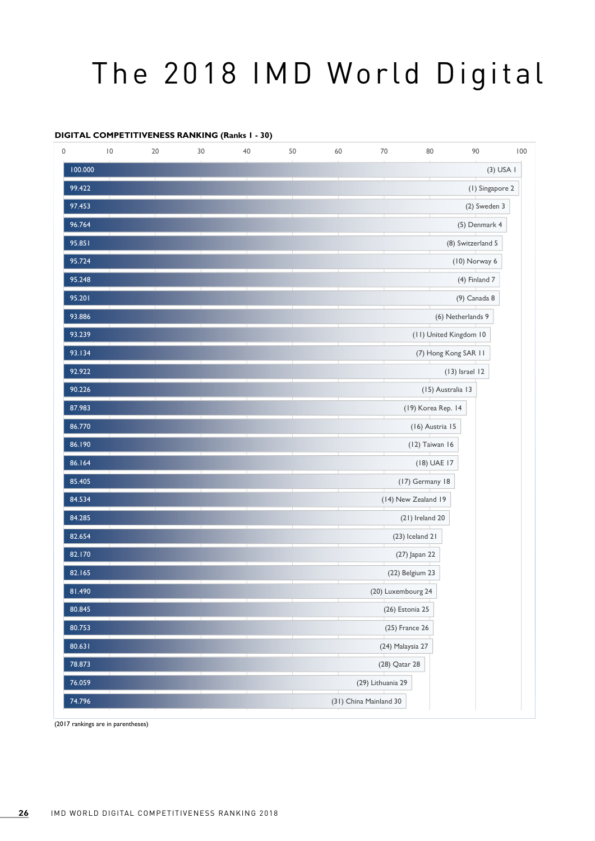## The 2018 IMD World Digital

## **DIGITAL COMPETITIVENESS RANKING (Ranks 1 - 30)**

| 0 |                  | $\vert 0$ | 20 | 30 | 40 | 50 | 60                     | 70                  | 80                     | 90                | 100 |  |  |  |
|---|------------------|-----------|----|----|----|----|------------------------|---------------------|------------------------|-------------------|-----|--|--|--|
|   | 100.000          |           |    |    |    |    |                        |                     |                        | $(3)$ USA I       |     |  |  |  |
|   | 99.422<br>97.453 |           |    |    |    |    |                        | (1) Singapore 2     |                        |                   |     |  |  |  |
|   |                  |           |    |    |    |    |                        | (2) Sweden 3        |                        |                   |     |  |  |  |
|   | 96.764           |           |    |    |    |    |                        |                     |                        | (5) Denmark 4     |     |  |  |  |
|   | 95.851           |           |    |    |    |    |                        |                     |                        | (8) Switzerland 5 |     |  |  |  |
|   | 95.724           |           |    |    |    |    |                        |                     |                        | (10) Norway 6     |     |  |  |  |
|   | 95.248           |           |    |    |    |    |                        |                     |                        | (4) Finland 7     |     |  |  |  |
|   | 95.201           |           |    |    |    |    |                        |                     |                        | (9) Canada 8      |     |  |  |  |
|   | 93.886           |           |    |    |    |    |                        |                     |                        | (6) Netherlands 9 |     |  |  |  |
|   | 93.239           |           |    |    |    |    |                        |                     | (11) United Kingdom 10 |                   |     |  |  |  |
|   | 93.134           |           |    |    |    |    |                        |                     | (7) Hong Kong SAR 11   |                   |     |  |  |  |
|   | 92.922           |           |    |    |    |    |                        |                     |                        | $(13)$ Israel 12  |     |  |  |  |
|   | 90.226           |           |    |    |    |    |                        |                     | (15) Australia 13      |                   |     |  |  |  |
|   | 87.983           |           |    |    |    |    |                        |                     | (19) Korea Rep. 14     |                   |     |  |  |  |
|   | 86.770           |           |    |    |    |    |                        |                     | (16) Austria 15        |                   |     |  |  |  |
|   | 86.190           |           |    |    |    |    |                        |                     | (12) Taiwan 16         |                   |     |  |  |  |
|   | 86.164           |           |    |    |    |    |                        |                     | (18) UAE 17            |                   |     |  |  |  |
|   | 85.405           |           |    |    |    |    |                        |                     | (17) Germany 18        |                   |     |  |  |  |
|   | 84.534           |           |    |    |    |    |                        | (14) New Zealand 19 |                        |                   |     |  |  |  |
|   | 84.285           |           |    |    |    |    |                        | $(21)$ Ireland 20   |                        |                   |     |  |  |  |
|   | 82.654           |           |    |    |    |    |                        | (23) Iceland 21     |                        |                   |     |  |  |  |
|   | 82.170           |           |    |    |    |    |                        | (27) Japan 22       |                        |                   |     |  |  |  |
|   | 82.165           |           |    |    |    |    |                        | (22) Belgium 23     |                        |                   |     |  |  |  |
|   | 81.490           |           |    |    |    |    |                        | (20) Luxembourg 24  |                        |                   |     |  |  |  |
|   | 80.845           |           |    |    |    |    |                        | (26) Estonia 25     |                        |                   |     |  |  |  |
|   | 80.753           |           |    |    |    |    |                        | (25) France 26      |                        |                   |     |  |  |  |
|   | 80.631           |           |    |    |    |    |                        | (24) Malaysia 27    |                        |                   |     |  |  |  |
|   | 78.873           |           |    |    |    |    |                        | (28) Qatar 28       |                        |                   |     |  |  |  |
|   | 76.059           |           |    |    |    |    |                        | (29) Lithuania 29   |                        |                   |     |  |  |  |
|   | 74.796           |           |    |    |    |    | (31) China Mainland 30 |                     |                        |                   |     |  |  |  |

(2017 rankings are in parentheses)